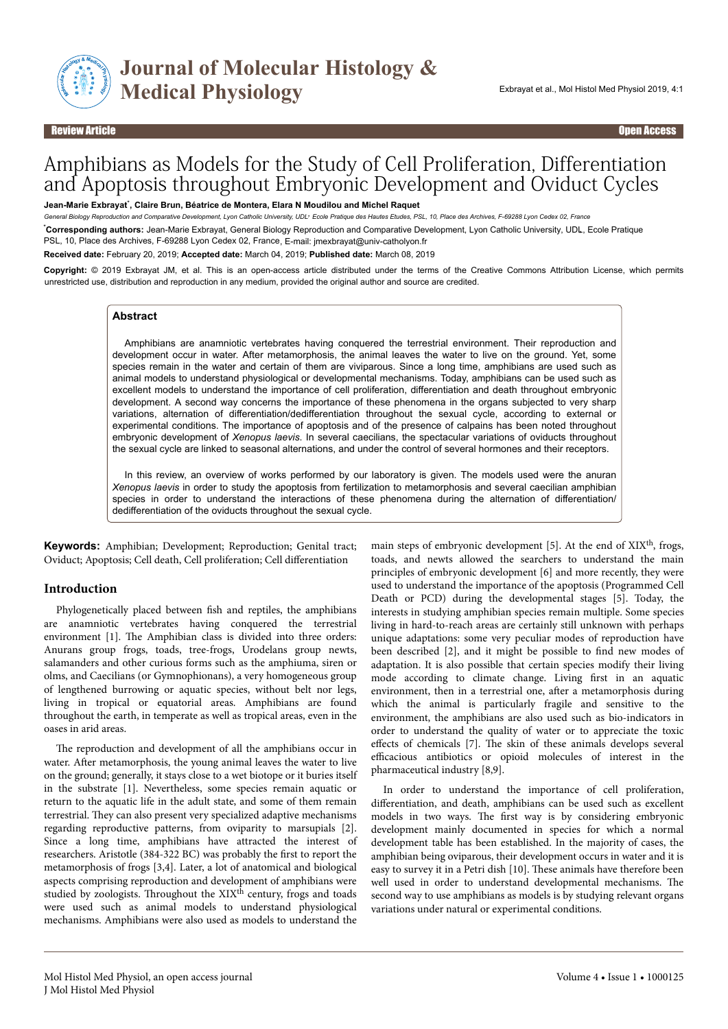

#### Review Article Open Access

# Amphibians as Models for the Study of Cell Proliferation, Differentiation and Apoptosis throughout Embryonic Development and Oviduct Cycles

**Jean-Marie Exbrayat**\* **, Claire Brun, Béatrice de Montera, Elara N Moudilou and Michel Raquet**

*General Biology Reproduction and Comparative Development, Lyon Catholic University, UDL, Ecole Pratique des Hautes Etudes, PSL, 10, Place des Archives, F-69288 Lyon Cedex 02, France*

\***Corresponding authors:** Jean-Marie Exbrayat, General Biology Reproduction and Comparative Development, Lyon Catholic University, UDL, Ecole Pratique , PSL, 10, Place des Archives, F-69288 Lyon Cedex 02, France, E-mail: jmexbrayat@univ-catholyon.fr

**Received date:** February 20, 2019; **Accepted date:** March 04, 2019; **Published date:** March 08, 2019

**Copyright:** © 2019 Exbrayat JM, et al. This is an open-access article distributed under the terms of the Creative Commons Attribution License, which permits unrestricted use, distribution and reproduction in any medium, provided the original author and source are credited.

#### **Abstract**

Amphibians are anamniotic vertebrates having conquered the terrestrial environment. Their reproduction and development occur in water. After metamorphosis, the animal leaves the water to live on the ground. Yet, some species remain in the water and certain of them are viviparous. Since a long time, amphibians are used such as animal models to understand physiological or developmental mechanisms. Today, amphibians can be used such as excellent models to understand the importance of cell proliferation, differentiation and death throughout embryonic development. A second way concerns the importance of these phenomena in the organs subjected to very sharp variations, alternation of differentiation/dedifferentiation throughout the sexual cycle, according to external or experimental conditions. The importance of apoptosis and of the presence of calpains has been noted throughout embryonic development of *Xenopus laevis*. In several caecilians, the spectacular variations of oviducts throughout the sexual cycle are linked to seasonal alternations, and under the control of several hormones and their receptors.

In this review, an overview of works performed by our laboratory is given. The models used were the anuran *Xenopus laevis* in order to study the apoptosis from fertilization to metamorphosis and several caecilian amphibian species in order to understand the interactions of these phenomena during the alternation of differentiation/ dedifferentiation of the oviducts throughout the sexual cycle.

**Keywords:** Amphibian; Development; Reproduction; Genital tract; Oviduct; Apoptosis; Cell death, Cell proliferation; Cell differentiation

#### **Introduction**

Phylogenetically placed between fish and reptiles, the amphibians are anamniotic vertebrates having conquered the terrestrial environment [1]. The Amphibian class is divided into three orders: Anurans group frogs, toads, tree-frogs, Urodelans group newts, salamanders and other curious forms such as the amphiuma, siren or olms, and Caecilians (or Gymnophionans), a very homogeneous group of lengthened burrowing or aquatic species, without belt nor legs, living in tropical or equatorial areas. Amphibians are found throughout the earth, in temperate as well as tropical areas, even in the oases in arid areas.

The reproduction and development of all the amphibians occur in water. After metamorphosis, the young animal leaves the water to live on the ground; generally, it stays close to a wet biotope or it buries itself in the substrate [1]. Nevertheless, some species remain aquatic or return to the aquatic life in the adult state, and some of them remain terrestrial. Нey can also present very specialized adaptive mechanisms regarding reproductive patterns, from oviparity to marsupials [2]. Since a long time, amphibians have attracted the interest of researchers. Aristotle (384-322 BC) was probably the first to report the metamorphosis of frogs [3,4]. Later, a lot of anatomical and biological aspects comprising reproduction and development of amphibians were studied by zoologists. Throughout the XIX<sup>th</sup> century, frogs and toads were used such as animal models to understand physiological mechanisms. Amphibians were also used as models to understand the

main steps of embryonic development [5]. At the end of XIX<sup>th</sup>, frogs, toads, and newts allowed the searchers to understand the main principles of embryonic development [6] and more recently, they were used to understand the importance of the apoptosis (Programmed Cell Death or PCD) during the developmental stages [5]. Today, the interests in studying amphibian species remain multiple. Some species living in hard-to-reach areas are certainly still unknown with perhaps unique adaptations: some very peculiar modes of reproduction have been described [2], and it might be possible to find new modes of adaptation. It is also possible that certain species modify their living mode according to climate change. Living first in an aquatic environment, then in a terrestrial one, after a metamorphosis during which the animal is particularly fragile and sensitive to the environment, the amphibians are also used such as bio-indicators in order to understand the quality of water or to appreciate the toxic effects of chemicals [7]. The skin of these animals develops several efficacious antibiotics or opioid molecules of interest in the pharmaceutical industry [8,9].

In order to understand the importance of cell proliferation, differentiation, and death, amphibians can be used such as excellent models in two ways. Нe first way is by considering embryonic development mainly documented in species for which a normal development table has been established. In the majority of cases, the amphibian being oviparous, their development occurs in water and it is easy to survey it in a Petri dish [10]. Нese animals have therefore been well used in order to understand developmental mechanisms. Нe second way to use amphibians as models is by studying relevant organs variations under natural or experimental conditions.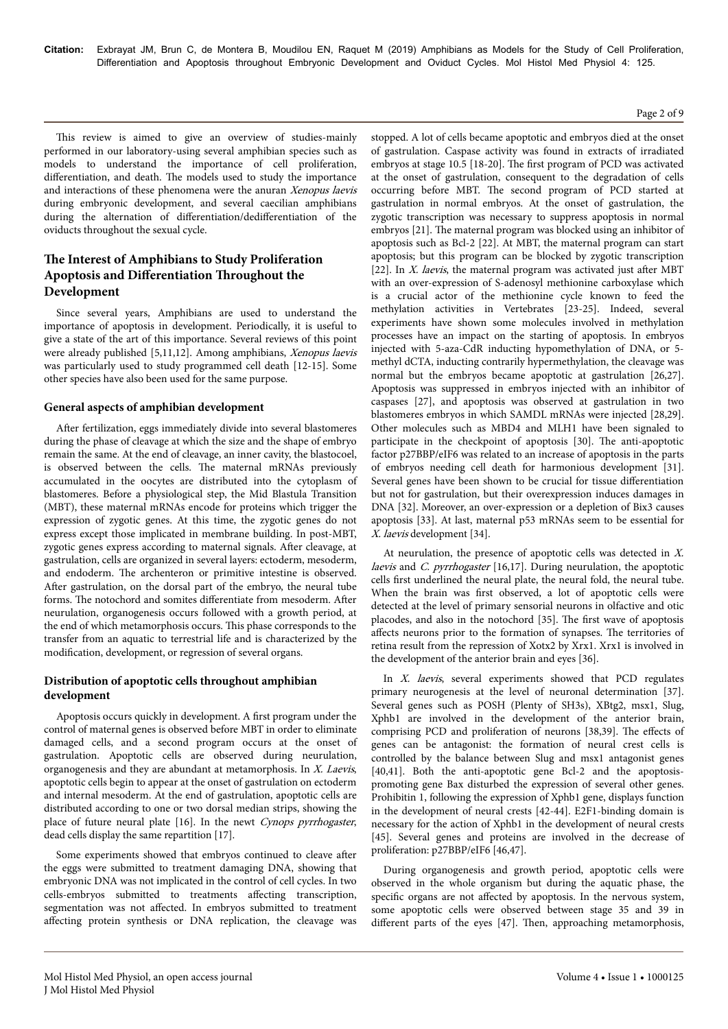#### Page 2 of 9

This review is aimed to give an overview of studies-mainly performed in our laboratory-using several amphibian species such as models to understand the importance of cell proliferation, differentiation, and death. The models used to study the importance and interactions of these phenomena were the anuran Xenopus laevis during embryonic development, and several caecilian amphibians during the alternation of differentiation/dedifferentiation of the oviducts throughout the sexual cycle.

# **The Interest of Amphibians to Study Proliferation Apoptosis and Differentiation Throughout the Development**

Since several years, Amphibians are used to understand the importance of apoptosis in development. Periodically, it is useful to give a state of the art of this importance. Several reviews of this point were already published [5,11,12]. Among amphibians, Xenopus laevis was particularly used to study programmed cell death [12-15]. Some other species have also been used for the same purpose.

## **General aspects of amphibian development**

After fertilization, eggs immediately divide into several blastomeres during the phase of cleavage at which the size and the shape of embryo remain the same. At the end of cleavage, an inner cavity, the blastocoel, is observed between the cells. Нe maternal mRNAs previously accumulated in the oocytes are distributed into the cytoplasm of blastomeres. Before a physiological step, the Mid Blastula Transition (MBT), these maternal mRNAs encode for proteins which trigger the expression of zygotic genes. At this time, the zygotic genes do not express except those implicated in membrane building. In post-MBT, zygotic genes express according to maternal signals. After cleavage, at gastrulation, cells are organized in several layers: ectoderm, mesoderm, and endoderm. Нe archenteron or primitive intestine is observed. After gastrulation, on the dorsal part of the embryo, the neural tube forms. The notochord and somites differentiate from mesoderm. After neurulation, organogenesis occurs followed with a growth period, at the end of which metamorphosis occurs. Нis phase corresponds to the transfer from an aquatic to terrestrial life and is characterized by the modification, development, or regression of several organs.

# **Distribution of apoptotic cells throughout amphibian development**

Apoptosis occurs quickly in development. A first program under the control of maternal genes is observed before MBT in order to eliminate damaged cells, and a second program occurs at the onset of gastrulation. Apoptotic cells are observed during neurulation, organogenesis and they are abundant at metamorphosis. In X. Laevis, apoptotic cells begin to appear at the onset of gastrulation on ectoderm and internal mesoderm. At the end of gastrulation, apoptotic cells are distributed according to one or two dorsal median strips, showing the place of future neural plate [16]. In the newt Cynops pyrrhogaster, dead cells display the same repartition [17].

Some experiments showed that embryos continued to cleave after the eggs were submitted to treatment damaging DNA, showing that embryonic DNA was not implicated in the control of cell cycles. In two cells-embryos submitted to treatments affecting transcription, segmentation was not affected. In embryos submitted to treatment affecting protein synthesis or DNA replication, the cleavage was

stopped. A lot of cells became apoptotic and embryos died at the onset of gastrulation. Caspase activity was found in extracts of irradiated embryos at stage 10.5 [18-20]. Нe first program of PCD was activated at the onset of gastrulation, consequent to the degradation of cells occurring before MBT. Нe second program of PCD started at gastrulation in normal embryos. At the onset of gastrulation, the zygotic transcription was necessary to suppress apoptosis in normal embryos [21]. Нe maternal program was blocked using an inhibitor of apoptosis such as Bcl-2 [22]. At MBT, the maternal program can start apoptosis; but this program can be blocked by zygotic transcription [22]. In  $X$ . laevis, the maternal program was activated just after MBT with an over-expression of S-adenosyl methionine carboxylase which is a crucial actor of the methionine cycle known to feed the methylation activities in Vertebrates [23-25]. Indeed, several experiments have shown some molecules involved in methylation processes have an impact on the starting of apoptosis. In embryos injected with 5-aza-CdR inducting hypomethylation of DNA, or 5 methyl dCTA, inducting contrarily hypermethylation, the cleavage was normal but the embryos became apoptotic at gastrulation [26,27]. Apoptosis was suppressed in embryos injected with an inhibitor of caspases [27], and apoptosis was observed at gastrulation in two blastomeres embryos in which SAMDL mRNAs were injected [28,29]. Other molecules such as MBD4 and MLH1 have been signaled to participate in the checkpoint of apoptosis [30]. Нe anti-apoptotic factor p27BBP/eIF6 was related to an increase of apoptosis in the parts of embryos needing cell death for harmonious development [31]. Several genes have been shown to be crucial for tissue differentiation but not for gastrulation, but their overexpression induces damages in DNA [32]. Moreover, an over-expression or a depletion of Bix3 causes apoptosis [33]. At last, maternal p53 mRNAs seem to be essential for X. laevis development [34].

At neurulation, the presence of apoptotic cells was detected in X. laevis and *C. pyrrhogaster* [16,17]. During neurulation, the apoptotic cells first underlined the neural plate, the neural fold, the neural tube. When the brain was first observed, a lot of apoptotic cells were detected at the level of primary sensorial neurons in olfactive and otic placodes, and also in the notochord [35]. Нe first wave of apoptosis affects neurons prior to the formation of synapses. The territories of retina result from the repression of Xotx2 by Xrx1. Xrx1 is involved in the development of the anterior brain and eyes [36].

In X. laevis, several experiments showed that PCD regulates primary neurogenesis at the level of neuronal determination [37]. Several genes such as POSH (Plenty of SH3s), XBtg2, msx1, Slug, Xphb1 are involved in the development of the anterior brain, comprising PCD and proliferation of neurons [38,39]. The effects of genes can be antagonist: the formation of neural crest cells is controlled by the balance between Slug and msx1 antagonist genes [40,41]. Both the anti-apoptotic gene Bcl-2 and the apoptosispromoting gene Bax disturbed the expression of several other genes. Prohibitin 1, following the expression of Xphb1 gene, displays function in the development of neural crests [42-44]. E2F1-binding domain is necessary for the action of Xphb1 in the development of neural crests [45]. Several genes and proteins are involved in the decrease of proliferation: p27BBP/eIF6 [46,47].

During organogenesis and growth period, apoptotic cells were observed in the whole organism but during the aquatic phase, the specific organs are not affected by apoptosis. In the nervous system, some apoptotic cells were observed between stage 35 and 39 in different parts of the eyes [47]. Then, approaching metamorphosis,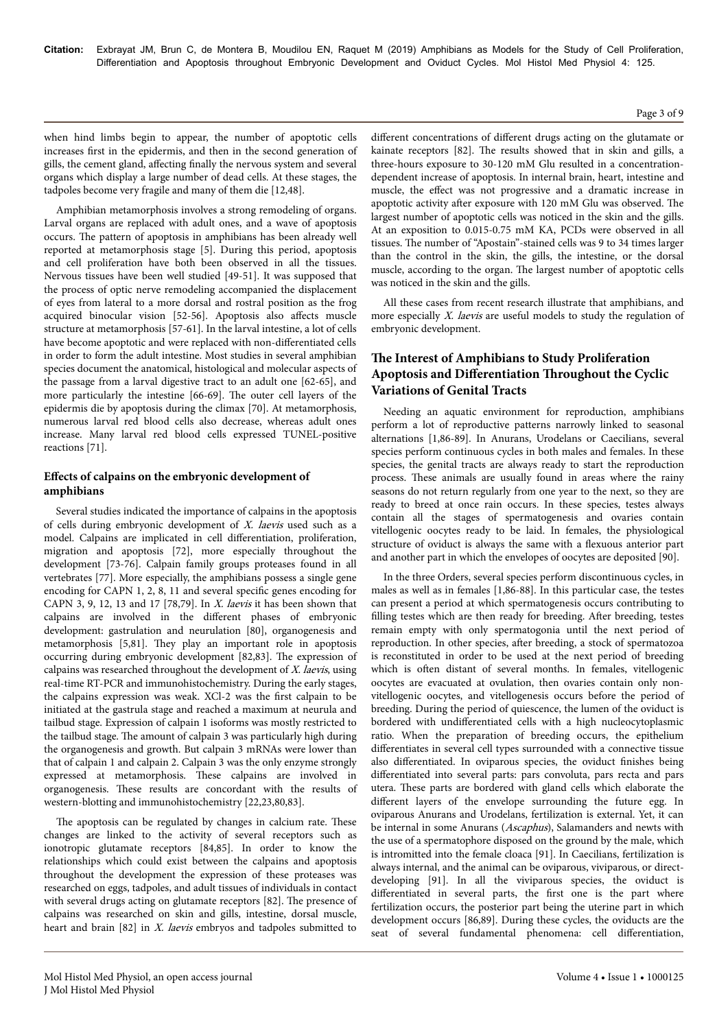#### Page 3 of 9

when hind limbs begin to appear, the number of apoptotic cells increases first in the epidermis, and then in the second generation of gills, the cement gland, affecting finally the nervous system and several organs which display a large number of dead cells. At these stages, the tadpoles become very fragile and many of them die [12,48].

Amphibian metamorphosis involves a strong remodeling of organs. Larval organs are replaced with adult ones, and a wave of apoptosis occurs. Нe pattern of apoptosis in amphibians has been already well reported at metamorphosis stage [5]. During this period, apoptosis and cell proliferation have both been observed in all the tissues. Nervous tissues have been well studied [49-51]. It was supposed that the process of optic nerve remodeling accompanied the displacement of eyes from lateral to a more dorsal and rostral position as the frog acquired binocular vision [52-56]. Apoptosis also affects muscle structure at metamorphosis [57-61]. In the larval intestine, a lot of cells have become apoptotic and were replaced with non-differentiated cells in order to form the adult intestine. Most studies in several amphibian species document the anatomical, histological and molecular aspects of the passage from a larval digestive tract to an adult one [62-65], and more particularly the intestine [66-69]. Нe outer cell layers of the epidermis die by apoptosis during the climax [70]. At metamorphosis, numerous larval red blood cells also decrease, whereas adult ones increase. Many larval red blood cells expressed TUNEL-positive reactions [71].

## Effects of calpains on the embryonic development of **amphibians**

Several studies indicated the importance of calpains in the apoptosis of cells during embryonic development of  $X$ . laevis used such as a model. Calpains are implicated in cell differentiation, proliferation, migration and apoptosis [72], more especially throughout the development [73-76]. Calpain family groups proteases found in all vertebrates [77]. More especially, the amphibians possess a single gene encoding for CAPN 1, 2, 8, 11 and several specific genes encoding for CAPN 3, 9, 12, 13 and 17 [78,79]. In  $X$ . laevis it has been shown that calpains are involved in the different phases of embryonic development: gastrulation and neurulation [80], organogenesis and metamorphosis [5,81]. Нey play an important role in apoptosis occurring during embryonic development [82,83]. Нe expression of calpains was researched throughout the development of  $X$ . laevis, using real-time RT-PCR and immunohistochemistry. During the early stages, the calpains expression was weak. XCl-2 was the first calpain to be initiated at the gastrula stage and reached a maximum at neurula and tailbud stage. Expression of calpain 1 isoforms was mostly restricted to the tailbud stage. Нe amount of calpain 3 was particularly high during the organogenesis and growth. But calpain 3 mRNAs were lower than that of calpain 1 and calpain 2. Calpain 3 was the only enzyme strongly expressed at metamorphosis. Нese calpains are involved in organogenesis. Нese results are concordant with the results of western-blotting and immunohistochemistry [22,23,80,83].

The apoptosis can be regulated by changes in calcium rate. These changes are linked to the activity of several receptors such as ionotropic glutamate receptors [84,85]. In order to know the relationships which could exist between the calpains and apoptosis throughout the development the expression of these proteases was researched on eggs, tadpoles, and adult tissues of individuals in contact with several drugs acting on glutamate receptors [82]. Нe presence of calpains was researched on skin and gills, intestine, dorsal muscle, heart and brain [82] in *X. laevis* embryos and tadpoles submitted to

different concentrations of different drugs acting on the glutamate or kainate receptors [82]. Нe results showed that in skin and gills, a three-hours exposure to 30-120 mM Glu resulted in a concentrationdependent increase of apoptosis. In internal brain, heart, intestine and muscle, the effect was not progressive and a dramatic increase in apoptotic activity after exposure with 120 mM Glu was observed. The largest number of apoptotic cells was noticed in the skin and the gills. At an exposition to 0.015-0.75 mM KA, PCDs were observed in all tissues. Нe number of "Apostain"-stained cells was 9 to 34 times larger than the control in the skin, the gills, the intestine, or the dorsal muscle, according to the organ. Нe largest number of apoptotic cells was noticed in the skin and the gills.

All these cases from recent research illustrate that amphibians, and more especially *X. laevis* are useful models to study the regulation of embryonic development.

# **The Interest of Amphibians to Study Proliferation Apoptosis and Differentiation Throughout the Cyclic Variations of Genital Tracts**

Needing an aquatic environment for reproduction, amphibians perform a lot of reproductive patterns narrowly linked to seasonal alternations [1,86-89]. In Anurans, Urodelans or Caecilians, several species perform continuous cycles in both males and females. In these species, the genital tracts are always ready to start the reproduction process. Нese animals are usually found in areas where the rainy seasons do not return regularly from one year to the next, so they are ready to breed at once rain occurs. In these species, testes always contain all the stages of spermatogenesis and ovaries contain vitellogenic oocytes ready to be laid. In females, the physiological structure of oviduct is always the same with a flexuous anterior part and another part in which the envelopes of oocytes are deposited [90].

In the three Orders, several species perform discontinuous cycles, in males as well as in females [1,86-88]. In this particular case, the testes can present a period at which spermatogenesis occurs contributing to filling testes which are then ready for breeding. After breeding, testes remain empty with only spermatogonia until the next period of reproduction. In other species, after breeding, a stock of spermatozoa is reconstituted in order to be used at the next period of breeding which is often distant of several months. In females, vitellogenic oocytes are evacuated at ovulation, then ovaries contain only nonvitellogenic oocytes, and vitellogenesis occurs before the period of breeding. During the period of quiescence, the lumen of the oviduct is bordered with undifferentiated cells with a high nucleocytoplasmic ratio. When the preparation of breeding occurs, the epithelium differentiates in several cell types surrounded with a connective tissue also differentiated. In oviparous species, the oviduct finishes being differentiated into several parts: pars convoluta, pars recta and pars utera. Нese parts are bordered with gland cells which elaborate the different layers of the envelope surrounding the future egg. In oviparous Anurans and Urodelans, fertilization is external. Yet, it can be internal in some Anurans (Ascaphus), Salamanders and newts with the use of a spermatophore disposed on the ground by the male, which is intromitted into the female cloaca [91]. In Caecilians, fertilization is always internal, and the animal can be oviparous, viviparous, or directdeveloping [91]. In all the viviparous species, the oviduct is differentiated in several parts, the first one is the part where fertilization occurs, the posterior part being the uterine part in which development occurs [86,89]. During these cycles, the oviducts are the seat of several fundamental phenomena: cell differentiation,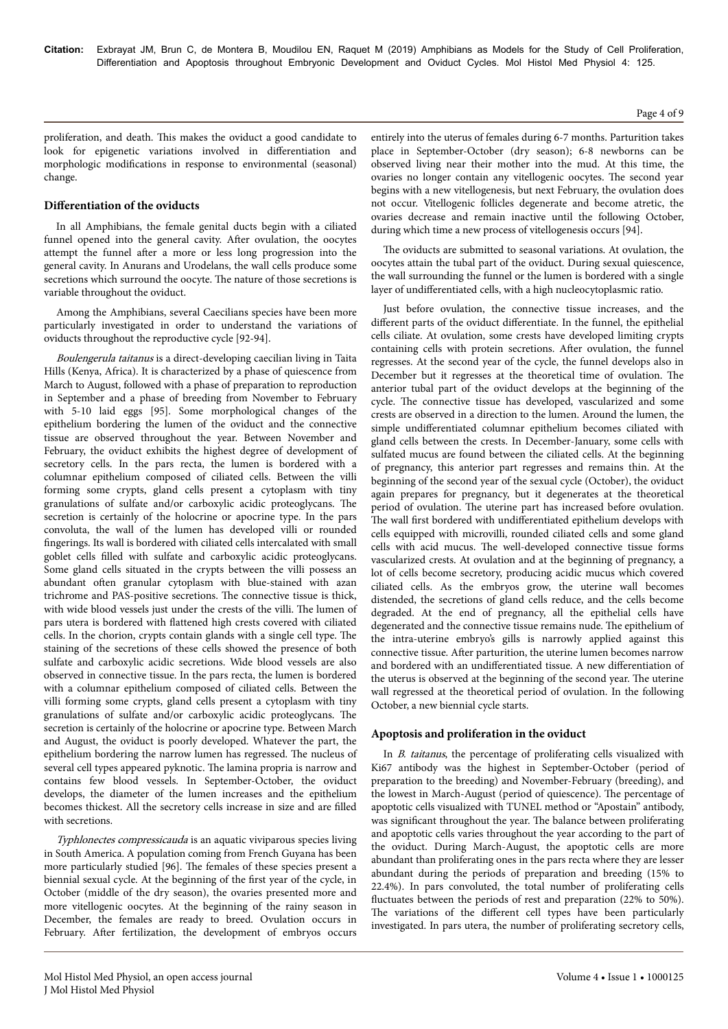proliferation, and death. Нis makes the oviduct a good candidate to look for epigenetic variations involved in differentiation and morphologic modifications in response to environmental (seasonal) change.

#### **Differentiation** of the oviducts

In all Amphibians, the female genital ducts begin with a ciliated funnel opened into the general cavity. After ovulation, the oocytes attempt the funnel after a more or less long progression into the general cavity. In Anurans and Urodelans, the wall cells produce some secretions which surround the oocyte. Нe nature of those secretions is variable throughout the oviduct.

Among the Amphibians, several Caecilians species have been more particularly investigated in order to understand the variations of oviducts throughout the reproductive cycle [92-94].

Boulengerula taitanus is a direct-developing caecilian living in Taita Hills (Kenya, Africa). It is characterized by a phase of quiescence from March to August, followed with a phase of preparation to reproduction in September and a phase of breeding from November to February with 5-10 laid eggs [95]. Some morphological changes of the epithelium bordering the lumen of the oviduct and the connective tissue are observed throughout the year. Between November and February, the oviduct exhibits the highest degree of development of secretory cells. In the pars recta, the lumen is bordered with a columnar epithelium composed of ciliated cells. Between the villi forming some crypts, gland cells present a cytoplasm with tiny granulations of sulfate and/or carboxylic acidic proteoglycans. Нe secretion is certainly of the holocrine or apocrine type. In the pars convoluta, the wall of the lumen has developed villi or rounded fingerings. Its wall is bordered with ciliated cells intercalated with small goblet cells filled with sulfate and carboxylic acidic proteoglycans. Some gland cells situated in the crypts between the villi possess an abundant often granular cytoplasm with blue-stained with azan trichrome and PAS-positive secretions. Нe connective tissue is thick, with wide blood vessels just under the crests of the villi. Нe lumen of pars utera is bordered with flattened high crests covered with ciliated cells. In the chorion, crypts contain glands with a single cell type. Нe staining of the secretions of these cells showed the presence of both sulfate and carboxylic acidic secretions. Wide blood vessels are also observed in connective tissue. In the pars recta, the lumen is bordered with a columnar epithelium composed of ciliated cells. Between the villi forming some crypts, gland cells present a cytoplasm with tiny granulations of sulfate and/or carboxylic acidic proteoglycans. Нe secretion is certainly of the holocrine or apocrine type. Between March and August, the oviduct is poorly developed. Whatever the part, the epithelium bordering the narrow lumen has regressed. Нe nucleus of several cell types appeared pyknotic. Нe lamina propria is narrow and contains few blood vessels. In September-October, the oviduct develops, the diameter of the lumen increases and the epithelium becomes thickest. All the secretory cells increase in size and are filled with secretions.

Typhlonectes compressicauda is an aquatic viviparous species living in South America. A population coming from French Guyana has been more particularly studied [96]. Нe females of these species present a biennial sexual cycle. At the beginning of the first year of the cycle, in October (middle of the dry season), the ovaries presented more and more vitellogenic oocytes. At the beginning of the rainy season in December, the females are ready to breed. Ovulation occurs in February. After fertilization, the development of embryos occurs

entirely into the uterus of females during 6-7 months. Parturition takes place in September-October (dry season); 6-8 newborns can be observed living near their mother into the mud. At this time, the ovaries no longer contain any vitellogenic oocytes. Нe second year begins with a new vitellogenesis, but next February, the ovulation does not occur. Vitellogenic follicles degenerate and become atretic, the ovaries decrease and remain inactive until the following October, during which time a new process of vitellogenesis occurs [94].

The oviducts are submitted to seasonal variations. At ovulation, the oocytes attain the tubal part of the oviduct. During sexual quiescence, the wall surrounding the funnel or the lumen is bordered with a single layer of undifferentiated cells, with a high nucleocytoplasmic ratio.

Just before ovulation, the connective tissue increases, and the different parts of the oviduct differentiate. In the funnel, the epithelial cells ciliate. At ovulation, some crests have developed limiting crypts containing cells with protein secretions. After ovulation, the funnel regresses. At the second year of the cycle, the funnel develops also in December but it regresses at the theoretical time of ovulation. Нe anterior tubal part of the oviduct develops at the beginning of the cycle. Нe connective tissue has developed, vascularized and some crests are observed in a direction to the lumen. Around the lumen, the simple undifferentiated columnar epithelium becomes ciliated with gland cells between the crests. In December-January, some cells with sulfated mucus are found between the ciliated cells. At the beginning of pregnancy, this anterior part regresses and remains thin. At the beginning of the second year of the sexual cycle (October), the oviduct again prepares for pregnancy, but it degenerates at the theoretical period of ovulation. Нe uterine part has increased before ovulation. The wall first bordered with undifferentiated epithelium develops with cells equipped with microvilli, rounded ciliated cells and some gland cells with acid mucus. Нe well-developed connective tissue forms vascularized crests. At ovulation and at the beginning of pregnancy, a lot of cells become secretory, producing acidic mucus which covered ciliated cells. As the embryos grow, the uterine wall becomes distended, the secretions of gland cells reduce, and the cells become degraded. At the end of pregnancy, all the epithelial cells have degenerated and the connective tissue remains nude. Нe epithelium of the intra-uterine embryo's gills is narrowly applied against this connective tissue. After parturition, the uterine lumen becomes narrow and bordered with an undifferentiated tissue. A new differentiation of the uterus is observed at the beginning of the second year. Нe uterine wall regressed at the theoretical period of ovulation. In the following October, a new biennial cycle starts.

#### **Apoptosis and proliferation in the oviduct**

In B. taitanus, the percentage of proliferating cells visualized with Ki67 antibody was the highest in September-October (period of preparation to the breeding) and November-February (breeding), and the lowest in March-August (period of quiescence). Нe percentage of apoptotic cells visualized with TUNEL method or "Apostain" antibody, was significant throughout the year. Нe balance between proliferating and apoptotic cells varies throughout the year according to the part of the oviduct. During March-August, the apoptotic cells are more abundant than proliferating ones in the pars recta where they are lesser abundant during the periods of preparation and breeding (15% to 22.4%). In pars convoluted, the total number of proliferating cells fluctuates between the periods of rest and preparation (22% to 50%). The variations of the different cell types have been particularly investigated. In pars utera, the number of proliferating secretory cells,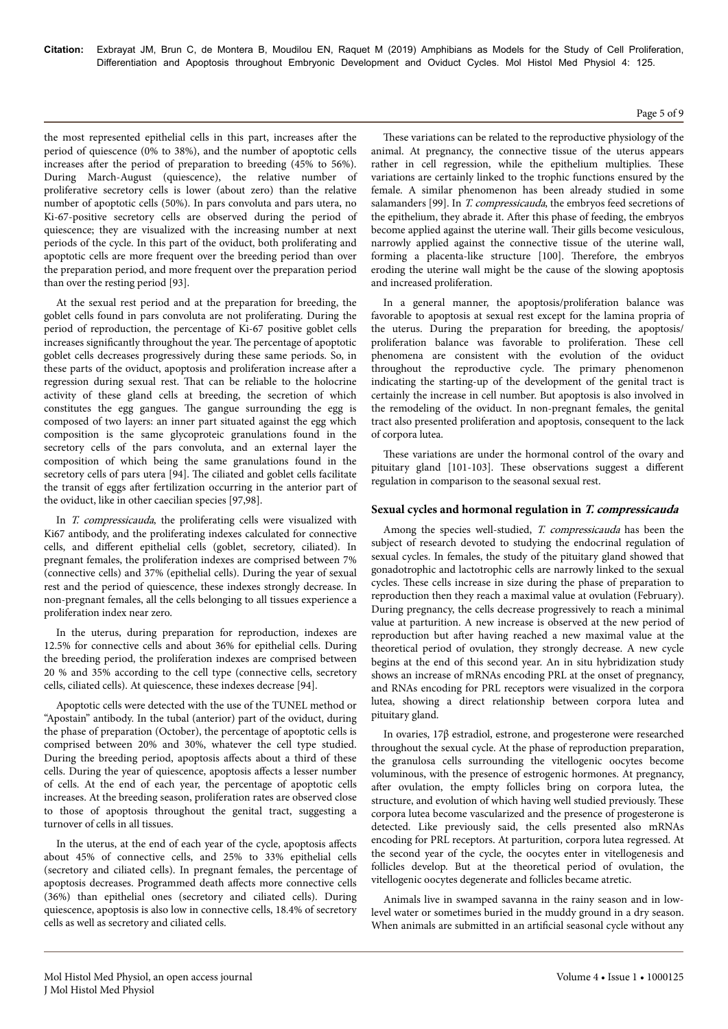the most represented epithelial cells in this part, increases after the period of quiescence (0% to 38%), and the number of apoptotic cells increases after the period of preparation to breeding (45% to 56%). During March-August (quiescence), the relative number of proliferative secretory cells is lower (about zero) than the relative number of apoptotic cells (50%). In pars convoluta and pars utera, no Ki-67-positive secretory cells are observed during the period of quiescence; they are visualized with the increasing number at next periods of the cycle. In this part of the oviduct, both proliferating and apoptotic cells are more frequent over the breeding period than over the preparation period, and more frequent over the preparation period than over the resting period [93].

At the sexual rest period and at the preparation for breeding, the goblet cells found in pars convoluta are not proliferating. During the period of reproduction, the percentage of Ki-67 positive goblet cells increases significantly throughout the year. Нe percentage of apoptotic goblet cells decreases progressively during these same periods. So, in these parts of the oviduct, apoptosis and proliferation increase after a regression during sexual rest. Нat can be reliable to the holocrine activity of these gland cells at breeding, the secretion of which constitutes the egg gangues. Нe gangue surrounding the egg is composed of two layers: an inner part situated against the egg which composition is the same glycoproteic granulations found in the secretory cells of the pars convoluta, and an external layer the composition of which being the same granulations found in the secretory cells of pars utera [94]. The ciliated and goblet cells facilitate the transit of eggs after fertilization occurring in the anterior part of the oviduct, like in other caecilian species [97,98].

In *T. compressicauda*, the proliferating cells were visualized with Ki67 antibody, and the proliferating indexes calculated for connective cells, and different epithelial cells (goblet, secretory, ciliated). In pregnant females, the proliferation indexes are comprised between 7% (connective cells) and 37% (epithelial cells). During the year of sexual rest and the period of quiescence, these indexes strongly decrease. In non-pregnant females, all the cells belonging to all tissues experience a proliferation index near zero.

In the uterus, during preparation for reproduction, indexes are 12.5% for connective cells and about 36% for epithelial cells. During the breeding period, the proliferation indexes are comprised between 20 % and 35% according to the cell type (connective cells, secretory cells, ciliated cells). At quiescence, these indexes decrease [94].

Apoptotic cells were detected with the use of the TUNEL method or "Apostain" antibody. In the tubal (anterior) part of the oviduct, during the phase of preparation (October), the percentage of apoptotic cells is comprised between 20% and 30%, whatever the cell type studied. During the breeding period, apoptosis affects about a third of these cells. During the year of quiescence, apoptosis affects a lesser number of cells. At the end of each year, the percentage of apoptotic cells increases. At the breeding season, proliferation rates are observed close to those of apoptosis throughout the genital tract, suggesting a turnover of cells in all tissues.

In the uterus, at the end of each year of the cycle, apoptosis affects about 45% of connective cells, and 25% to 33% epithelial cells (secretory and ciliated cells). In pregnant females, the percentage of apoptosis decreases. Programmed death affects more connective cells (36%) than epithelial ones (secretory and ciliated cells). During quiescence, apoptosis is also low in connective cells, 18.4% of secretory cells as well as secretory and ciliated cells.

These variations can be related to the reproductive physiology of the animal. At pregnancy, the connective tissue of the uterus appears rather in cell regression, while the epithelium multiplies. Нese variations are certainly linked to the trophic functions ensured by the female. A similar phenomenon has been already studied in some salamanders [99]. In T. compressicauda, the embryos feed secretions of the epithelium, they abrade it. After this phase of feeding, the embryos become applied against the uterine wall. Нeir gills become vesiculous, narrowly applied against the connective tissue of the uterine wall, forming a placenta-like structure [100]. Нerefore, the embryos eroding the uterine wall might be the cause of the slowing apoptosis and increased proliferation.

In a general manner, the apoptosis/proliferation balance was favorable to apoptosis at sexual rest except for the lamina propria of the uterus. During the preparation for breeding, the apoptosis/ proliferation balance was favorable to proliferation. Нese cell phenomena are consistent with the evolution of the oviduct throughout the reproductive cycle. Нe primary phenomenon indicating the starting-up of the development of the genital tract is certainly the increase in cell number. But apoptosis is also involved in the remodeling of the oviduct. In non-pregnant females, the genital tract also presented proliferation and apoptosis, consequent to the lack of corpora lutea.

These variations are under the hormonal control of the ovary and pituitary gland [101-103]. These observations suggest a different regulation in comparison to the seasonal sexual rest.

#### **Sexual cycles and hormonal regulation in T. compressicauda**

Among the species well-studied, T. compressicauda has been the subject of research devoted to studying the endocrinal regulation of sexual cycles. In females, the study of the pituitary gland showed that gonadotrophic and lactotrophic cells are narrowly linked to the sexual cycles. Нese cells increase in size during the phase of preparation to reproduction then they reach a maximal value at ovulation (February). During pregnancy, the cells decrease progressively to reach a minimal value at parturition. A new increase is observed at the new period of reproduction but after having reached a new maximal value at the theoretical period of ovulation, they strongly decrease. A new cycle begins at the end of this second year. An in situ hybridization study shows an increase of mRNAs encoding PRL at the onset of pregnancy, and RNAs encoding for PRL receptors were visualized in the corpora lutea, showing a direct relationship between corpora lutea and pituitary gland.

In ovaries, 17β estradiol, estrone, and progesterone were researched throughout the sexual cycle. At the phase of reproduction preparation, the granulosa cells surrounding the vitellogenic oocytes become voluminous, with the presence of estrogenic hormones. At pregnancy, after ovulation, the empty follicles bring on corpora lutea, the structure, and evolution of which having well studied previously. Нese corpora lutea become vascularized and the presence of progesterone is detected. Like previously said, the cells presented also mRNAs encoding for PRL receptors. At parturition, corpora lutea regressed. At the second year of the cycle, the oocytes enter in vitellogenesis and follicles develop. But at the theoretical period of ovulation, the vitellogenic oocytes degenerate and follicles became atretic.

Animals live in swamped savanna in the rainy season and in lowlevel water or sometimes buried in the muddy ground in a dry season. When animals are submitted in an artificial seasonal cycle without any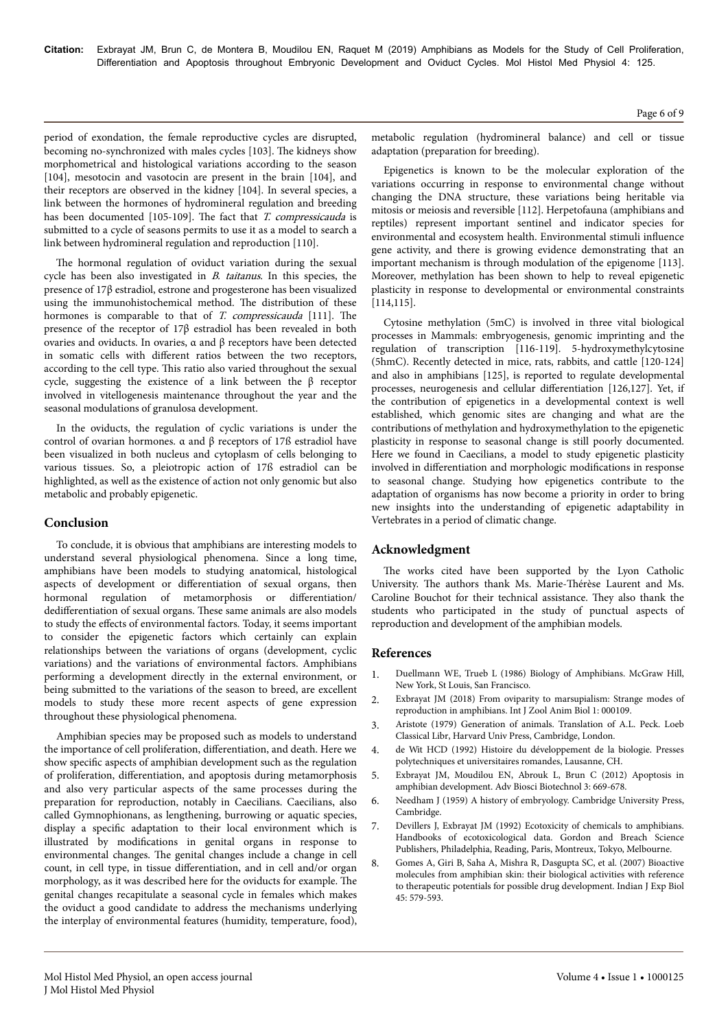**Citation:** Exbrayat JM, Brun C, de Montera B, Moudilou EN, Raquet M (2019) Amphibians as Models for the Study of Cell Proliferation, Differentiation and Apoptosis throughout Embryonic Development and Oviduct Cycles. Mol Histol Med Physiol 4: 125.

Page 6 of 9

period of exondation, the female reproductive cycles are disrupted, becoming no-synchronized with males cycles [103]. Нe kidneys show morphometrical and histological variations according to the season [104], mesotocin and vasotocin are present in the brain [104], and their receptors are observed in the kidney [104]. In several species, a link between the hormones of hydromineral regulation and breeding has been documented [105-109]. The fact that *T. compressicauda* is submitted to a cycle of seasons permits to use it as a model to search a link between hydromineral regulation and reproduction [110].

The hormonal regulation of oviduct variation during the sexual cycle has been also investigated in B. taitanus. In this species, the presence of 17β estradiol, estrone and progesterone has been visualized using the immunohistochemical method. Нe distribution of these hormones is comparable to that of T. compressicauda [111]. The presence of the receptor of 17β estradiol has been revealed in both ovaries and oviducts. In ovaries, α and β receptors have been detected in somatic cells with different ratios between the two receptors, according to the cell type. Нis ratio also varied throughout the sexual cycle, suggesting the existence of a link between the β receptor involved in vitellogenesis maintenance throughout the year and the seasonal modulations of granulosa development.

In the oviducts, the regulation of cyclic variations is under the control of ovarian hormones. α and β receptors of 17ß estradiol have been visualized in both nucleus and cytoplasm of cells belonging to various tissues. So, a pleiotropic action of 17ß estradiol can be highlighted, as well as the existence of action not only genomic but also metabolic and probably epigenetic.

## **Conclusion**

To conclude, it is obvious that amphibians are interesting models to understand several physiological phenomena. Since a long time, amphibians have been models to studying anatomical, histological aspects of development or differentiation of sexual organs, then hormonal regulation of metamorphosis or differentiation/ dedifferentiation of sexual organs. These same animals are also models to study the effects of environmental factors. Today, it seems important to consider the epigenetic factors which certainly can explain relationships between the variations of organs (development, cyclic variations) and the variations of environmental factors. Amphibians performing a development directly in the external environment, or being submitted to the variations of the season to breed, are excellent models to study these more recent aspects of gene expression throughout these physiological phenomena.

Amphibian species may be proposed such as models to understand the importance of cell proliferation, differentiation, and death. Here we show specific aspects of amphibian development such as the regulation of proliferation, differentiation, and apoptosis during metamorphosis and also very particular aspects of the same processes during the preparation for reproduction, notably in Caecilians. Caecilians, also called Gymnophionans, as lengthening, burrowing or aquatic species, display a specific adaptation to their local environment which is illustrated by modifications in genital organs in response to environmental changes. Нe genital changes include a change in cell count, in cell type, in tissue differentiation, and in cell and/or organ morphology, as it was described here for the oviducts for example. Нe genital changes recapitulate a seasonal cycle in females which makes the oviduct a good candidate to address the mechanisms underlying the interplay of environmental features (humidity, temperature, food),

metabolic regulation (hydromineral balance) and cell or tissue adaptation (preparation for breeding).

Epigenetics is known to be the molecular exploration of the variations occurring in response to environmental change without changing the DNA structure, these variations being heritable via mitosis or meiosis and reversible [112]. Herpetofauna (amphibians and reptiles) represent important sentinel and indicator species for environmental and ecosystem health. Environmental stimuli influence gene activity, and there is growing evidence demonstrating that an important mechanism is through modulation of the epigenome [113]. Moreover, methylation has been shown to help to reveal epigenetic plasticity in response to developmental or environmental constraints [114,115].

Cytosine methylation (5mC) is involved in three vital biological processes in Mammals: embryogenesis, genomic imprinting and the regulation of transcription [116-119]. 5-hydroxymethylcytosine (5hmC). Recently detected in mice, rats, rabbits, and cattle [120-124] and also in amphibians [125], is reported to regulate developmental processes, neurogenesis and cellular differentiation [126,127]. Yet, if the contribution of epigenetics in a developmental context is well established, which genomic sites are changing and what are the contributions of methylation and hydroxymethylation to the epigenetic plasticity in response to seasonal change is still poorly documented. Here we found in Caecilians, a model to study epigenetic plasticity involved in differentiation and morphologic modifications in response to seasonal change. Studying how epigenetics contribute to the adaptation of organisms has now become a priority in order to bring new insights into the understanding of epigenetic adaptability in Vertebrates in a period of climatic change.

#### **Acknowledgment**

The works cited have been supported by the Lyon Catholic University. Нe authors thank Ms. Marie-Нérèse Laurent and Ms. Caroline Bouchot for their technical assistance. Нey also thank the students who participated in the study of punctual aspects of reproduction and development of the amphibian models.

#### **References**

- 1. Duellmann WE, Trueb L (1986) Biology of Amphibians. McGraw Hill, New York, St Louis, San Francisco.
- 2. [Exbrayat JM \(2018\) From oviparity to marsupialism: Strange modes of](https://doi.org/10.23880/izab-16000108) [reproduction in amphibians. Int J Zool Anim Biol 1: 000109.](https://doi.org/10.23880/izab-16000108)
- 3. Aristote (1979) Generation of animals. Translation of A.L. Peck. Loeb Classical Libr, Harvard Univ Press, Cambridge, London.
- 4. de Wit HCD (1992) Histoire du développement de la biologie. Presses polytechniques et universitaires romandes, Lausanne, CH.
- 5. [Exbrayat JM, Moudilou EN, Abrouk L, Brun C \(2012\) Apoptosis in](https://doi.org/10.4236/abb.2012.326087) [amphibian development. Adv Biosci Biotechnol 3: 669-678.](https://doi.org/10.4236/abb.2012.326087)
- 6. Needham J (1959) A history of embryology. Cambridge University Press, Cambridge.
- 7. Devillers J, Exbrayat JM (1992) Ecotoxicity of chemicals to amphibians. Handbooks of ecotoxicological data. Gordon and Breach Science Publishers, Philadelphia, Reading, Paris, Montreux, Tokyo, Melbourne.
- 8. [Gomes A, Giri B, Saha A, Mishra R, Dasgupta SC, et al. \(2007\) Bioactive](http://nopr.niscair.res.in/bitstream/123456789/5338/1/IJEB%2045%287%29%20579-593.pdf) [molecules from amphibian skin: their biological activities with reference](http://nopr.niscair.res.in/bitstream/123456789/5338/1/IJEB%2045%287%29%20579-593.pdf) [to therapeutic potentials for possible drug development. Indian J Exp Biol](http://nopr.niscair.res.in/bitstream/123456789/5338/1/IJEB%2045%287%29%20579-593.pdf) [45: 579-593.](http://nopr.niscair.res.in/bitstream/123456789/5338/1/IJEB%2045%287%29%20579-593.pdf)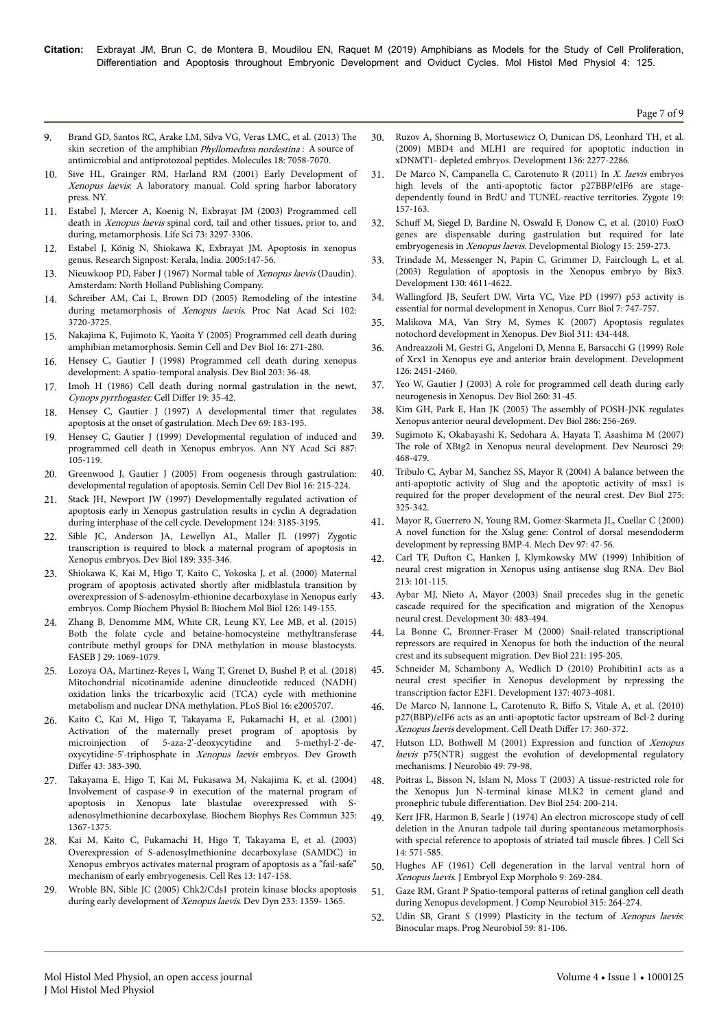**Citation:** Exbrayat JM, Brun C, de Montera B, Moudilou EN, Raquet M (2019) Amphibians as Models for the Study of Cell Proliferation, Differentiation and Apoptosis throughout Embryonic Development and Oviduct Cycles. Mol Histol Med Physiol 4: 125.

Page 7 of 9

- 9. [Brand GD, Santos RC, Arake LM, Silva VG, Veras LMC, et al. \(2013\)](https://doi.org/10.3390/molecules18067058) Нe skin secretion of the amphibian *Phyllomedusa nordestina*: A source of [antimicrobial and antiprotozoal peptides. Molecules 18: 7058-7070.](https://doi.org/10.3390/molecules18067058)
- 10. Sive HL, Grainger RM, Harland RM (2001) Early Development of Xenopus laevis: A laboratory manual. Cold spring harbor laboratory press. NY.
- 11. [Estabel J, Mercer A, Koenig N, Exbrayat JM \(2003\) Programmed cell](https://doi.org/10.1016/j.lfs.2003.06.015) death in Xenopus laevis [spinal cord, tail and other tissues, prior to, and](https://doi.org/10.1016/j.lfs.2003.06.015) [during, metamorphosis. Life Sci 73: 3297-3306.](https://doi.org/10.1016/j.lfs.2003.06.015)
- 12. Estabel J, König N, Shiokawa K, Exbrayat JM. Apoptosis in xenopus genus. Research Signpost: Kerala, India. 2005:147-56.
- 13. Nieuwkoop PD, Faber J (1967) Normal table of Xenopus laevis (Daudin). Amsterdam: North Holland Publishing Company.
- 14. [Schreiber AM, Cai L, Brown DD \(2005\) Remodeling of the intestine](https://doi.org/10.1073/pnas.0409868102) during metamorphosis of Xenopus laevis[. Proc Nat Acad Sci 102:](https://doi.org/10.1073/pnas.0409868102) [3720-3725.](https://doi.org/10.1073/pnas.0409868102)
- 15. [Nakajima K, Fujimoto K, Yaoita Y \(2005\) Programmed cell death during](https://doi.org/10.1016/j.semcdb.2004.12.006) [amphibian metamorphosis. Semin Cell and Dev Biol 16: 271-280.](https://doi.org/10.1016/j.semcdb.2004.12.006)
- 16. [Hensey C, Gautier J \(1998\) Programmed cell death during xenopus](https://doi.org/10.1006/dbio.1998.9028) [development: A spatio-temporal analysis. Dev Biol 203: 36-48.](https://doi.org/10.1006/dbio.1998.9028)
- 17. [Imoh H \(1986\) Cell death during normal gastrulation in the newt,](https://doi.org/10.1016/0045-6039(86)90023-0) [Cynops pyrrhogaster.](https://doi.org/10.1016/0045-6039(86)90023-0) Cell Differ 19: 35-42.
- 18. [Hensey C, Gautier J \(1997\) A developmental timer that regulates](https://doi.org/10.1016/s0925-4773(97)00191-3) [apoptosis at the onset of gastrulation. Mech Dev 69: 183-195.](https://doi.org/10.1016/s0925-4773(97)00191-3)
- 19. [Hensey C, Gautier J \(1999\) Developmental regulation of induced and](https://doi.org/10.1111/j.1749-6632.1999.tb07926.x) [programmed cell death in Xenopus embryos. Ann NY Acad Sci 887:](https://doi.org/10.1111/j.1749-6632.1999.tb07926.x) [105-119.](https://doi.org/10.1111/j.1749-6632.1999.tb07926.x)
- 20. [Greenwood J, Gautier J \(2005\) From oogenesis through gastrulation:](https://doi.org/10.1016/j.semcdb.2004.12.002) [developmental regulation of apoptosis. Semin Cell Dev Biol 16: 215-224.](https://doi.org/10.1016/j.semcdb.2004.12.002)
- 21. [Stack JH, Newport JW \(1997\) Developmentally regulated activation of](http://dev.biologists.org/content/124/16/3185) [apoptosis early in Xenopus gastrulation results in cyclin A degradation](http://dev.biologists.org/content/124/16/3185) [during interphase of the cell cycle. Development 124: 3185-3195.](http://dev.biologists.org/content/124/16/3185)
- 22. [Sible JC, Anderson JA, Lewellyn AL, Maller JL \(1997\) Zygotic](https://doi.org/10.1006/dbio.1997.8683) [transcription is required to block a maternal program of apoptosis in](https://doi.org/10.1006/dbio.1997.8683) [Xenopus embryos. Dev Biol 189: 335-346.](https://doi.org/10.1006/dbio.1997.8683)
- 23. [Shiokawa K, Kai M, Higo T, Kaito C, Yokoska J, et al. \(2000\) Maternal](https://doi.org/10.1016/s0305-0491(00)00193-0) [program of apoptosis activated shortly](https://doi.org/10.1016/s0305-0491(00)00193-0) after midblastula transition by [overexpression of S-adenosylm-ethionine decarboxylase in Xenopus early](https://doi.org/10.1016/s0305-0491(00)00193-0) [embryos. Comp Biochem Physiol B: Biochem Mol Biol 126: 149-155.](https://doi.org/10.1016/s0305-0491(00)00193-0)
- 24. [Zhang B, Denomme MM, White CR, Leung KY, Lee MB, et al. \(2015\)](https://doi.org/10.1096/fj.14-261131) [Both the folate cycle and betaine-homocysteine methyltransferase](https://doi.org/10.1096/fj.14-261131) [contribute methyl groups for DNA methylation in mouse blastocysts.](https://doi.org/10.1096/fj.14-261131) [FASEB J 29: 1069-1079.](https://doi.org/10.1096/fj.14-261131)
- 25. [Lozoya OA, Martinez-Reyes I, Wang T, Grenet D, Bushel P, et al. \(2018\)](https://doi.org/10.1371/journal.pbio.2005707) [Mitochondrial nicotinamide adenine dinucleotide reduced \(NADH\)](https://doi.org/10.1371/journal.pbio.2005707) [oxidation links the tricarboxylic acid \(TCA\) cycle with methionine](https://doi.org/10.1371/journal.pbio.2005707) [metabolism and nuclear DNA methylation. PLoS Biol 16: e2005707.](https://doi.org/10.1371/journal.pbio.2005707)
- 26. [Kaito C, Kai M, Higo T, Takayama E, Fukamachi H, et al. \(2001\)](https://doi.org/10.1046/j.1440-169x.2001.00579.x) [Activation of the maternally preset program of apoptosis by](https://doi.org/10.1046/j.1440-169x.2001.00579.x) [microinjection of 5-aza-2'-deoxycytidine and 5-methyl-2'-de](https://doi.org/10.1046/j.1440-169x.2001.00579.x)[oxycytidine-5'-triphosphate in](https://doi.org/10.1046/j.1440-169x.2001.00579.x) Xenopus laevis embryos. Dev Growth Differ [43: 383-390.](https://doi.org/10.1046/j.1440-169x.2001.00579.x)
- 27. [Takayama E, Higo T, Kai M, Fukasawa M, Nakajima K, et al. \(2004\)](https://doi.org/10.1016/j.bbrc.2004.10.179) [Involvement of caspase-9 in execution of the maternal program of](https://doi.org/10.1016/j.bbrc.2004.10.179) [apoptosis in Xenopus late blastulae overexpressed with S](https://doi.org/10.1016/j.bbrc.2004.10.179)[adenosylmethionine decarboxylase. Biochem Biophys Res Commun 325:](https://doi.org/10.1016/j.bbrc.2004.10.179) [1367-1375.](https://doi.org/10.1016/j.bbrc.2004.10.179)
- 28. [Kai M, Kaito C, Fukamachi H, Higo T, Takayama E, et al. \(2003\)](https://doi.org/10.1038/sj.cr.7290159) [Overexpression of S-adenosylmethionine decarboxylase \(SAMDC\) in](https://doi.org/10.1038/sj.cr.7290159) [Xenopus embryos activates maternal program of apoptosis as a "fail-safe"](https://doi.org/10.1038/sj.cr.7290159) [mechanism of early embryogenesis. Cell Res 13: 147-158.](https://doi.org/10.1038/sj.cr.7290159)
- 29. [Wroble BN, Sible JC \(2005\) Chk2/Cds1 protein kinase blocks apoptosis](https://doi.org/10.1002/dvdy.20449) [during early development of](https://doi.org/10.1002/dvdy.20449) Xenopus laevis. Dev Dyn 233: 1359-1365.
- 30. [Ruzov A, Shorning B, Mortusewicz O, Dunican DS, Leonhard TH, et al.](https://doi.org/10.1242/dev.032227) [\(2009\) MBD4 and MLH1 are required for apoptotic induction in](https://doi.org/10.1242/dev.032227) [xDNMT1- depleted embryos. Development 136: 2277-2286.](https://doi.org/10.1242/dev.032227)
- [De Marco N, Campanella C, Carotenuto R \(2011\) In](https://doi.org/10.1017/s0967199410000213) X. laevis embryos [high levels of the anti-apoptotic factor p27BBP/eIF6 are stage](https://doi.org/10.1017/s0967199410000213)[dependently found in BrdU and TUNEL-reactive territories. Zygote 19:](https://doi.org/10.1017/s0967199410000213) [157-163.](https://doi.org/10.1017/s0967199410000213)
- 32. Schuff [M, Siegel D, Bardine N, Oswald F, Donow C, et al. \(2010\) FoxO](https://doi.org/10.1016/j.ydbio.2009.10.036) [genes are dispensable during gastrulation but required for late](https://doi.org/10.1016/j.ydbio.2009.10.036) embryogenesis in Xenopus laevis[. Developmental Biology 15: 259-273.](https://doi.org/10.1016/j.ydbio.2009.10.036)
- 33. [Trindade M, Messenger N, Papin C, Grimmer D, Fairclough L, et al.](https://doi.org/10.1242/dev.00489) [\(2003\) Regulation of apoptosis in the Xenopus embryo by Bix3.](https://doi.org/10.1242/dev.00489) [Development 130: 4611-4622.](https://doi.org/10.1242/dev.00489)
- 34. [Wallingford JB, Seufert DW, Virta VC, Vize PD \(1997\) p53 activity is](https://doi.org/10.1016/s0960-9822(06)00333-2) [essential for normal development in Xenopus. Curr Biol 7: 747-757.](https://doi.org/10.1016/s0960-9822(06)00333-2)
- 35. [Malikova MA, Van Stry M, Symes K \(2007\) Apoptosis regulates](https://doi.org/10.1016/j.ydbio.2007.08.047) [notochord development in Xenopus. Dev Biol 311: 434-448.](https://doi.org/10.1016/j.ydbio.2007.08.047)
- 36. Andreazzoli M, Gestri G, Angeloni D, Menna E, Barsacchi G (1999) Role of Xrx1 in Xenopus eye and anterior brain development. Development 126: 2451-2460.
- 37. [Yeo W, Gautier J \(2003\) A role for programmed cell death during early](https://doi.org/10.1016/s0012-1606(03)00222-7) [neurogenesis in Xenopus. Dev Biol 260: 31-45.](https://doi.org/10.1016/s0012-1606(03)00222-7)
- 38. Kim GH, Park E, Han JK (2005) Нe [assembly of POSH-JNK regulates](https://doi.org/10.1016/j.ydbio.2005.07.033) [Xenopus anterior neural development. Dev Biol 286: 256-269.](https://doi.org/10.1016/j.ydbio.2005.07.033)
- 39. [Sugimoto K, Okabayashi K, Sedohara A, Hayata T, Asashima M \(2007\)](https://doi.org/10.1159/000097320) The [role of XBtg2 in Xenopus neural development. Dev Neurosci 29:](https://doi.org/10.1159/000097320) [468-479.](https://doi.org/10.1159/000097320)
- 40. [Tribulo C, Aybar M, Sanchez SS, Mayor R \(2004\) A balance between the](https://doi.org/10.1016/j.ydbio.2004.07.041) [anti-apoptotic activity of Slug and the apoptotic activity of msx1 is](https://doi.org/10.1016/j.ydbio.2004.07.041) [required for the proper development of the neural crest. Dev Biol 275:](https://doi.org/10.1016/j.ydbio.2004.07.041) [325-342.](https://doi.org/10.1016/j.ydbio.2004.07.041)
- 41. [Mayor R, Guerrero N, Young RM, Gomez-Skarmeta JL, Cuellar C \(2000\)](https://doi.org/10.1016/s0925-4773(00)00412-3) [A novel function for the Xslug gene: Control of dorsal mesendoderm](https://doi.org/10.1016/s0925-4773(00)00412-3) [development by repressing BMP-4. Mech Dev 97: 47-56.](https://doi.org/10.1016/s0925-4773(00)00412-3)
- 42. Carl TF, Dufton [C, Hanken J, Klymkowsky MW \(1999\) Inhibition of](https://doi.org/10.1006/dbio.1999.9320) [neural crest migration in Xenopus using antisense slug RNA. Dev Biol](https://doi.org/10.1006/dbio.1999.9320) [213: 101-115.](https://doi.org/10.1006/dbio.1999.9320)
- 43. [Aybar MJ, Nieto A, Mayor \(2003\) Snail precedes slug in the genetic](https://doi.org/10.1242/dev.00238) cascade required for the specification [and migration of the Xenopus](https://doi.org/10.1242/dev.00238) [neural crest. Development 30: 483-494.](https://doi.org/10.1242/dev.00238)
- 44. [La Bonne C, Bronner-Fraser M \(2000\) Snail-related transcriptional](https://doi.org/10.1006/dbio.2000.9609) [repressors are required in Xenopus for both the induction of the neural](https://doi.org/10.1006/dbio.2000.9609) [crest and its subsequent migration. Dev Biol 221: 195-205.](https://doi.org/10.1006/dbio.2000.9609)
- 45. [Schneider M, Schambony A, Wedlich D \(2010\) Prohibitin1 acts as a](https://doi.org/10.1242/dev.053405) neural crest specifier [in Xenopus development by repressing the](https://doi.org/10.1242/dev.053405) [transcription factor E2F1. Development 137: 4073-4081.](https://doi.org/10.1242/dev.053405)
- 46. [De Marco N, Iannone L, Carotenuto R,](https://doi.org/10.1038/cdd.2009.128) Biffo S, Vitale A, et al. (2010) [p27\(BBP\)/eIF6 acts as an anti-apoptotic factor upstream of Bcl-2 during](https://doi.org/10.1038/cdd.2009.128) Xenopus laevis [development. Cell Death](https://doi.org/10.1038/cdd.2009.128) Differ 17: 360-372.
- 47. [Hutson LD, Bothwell M \(2001\) Expression and function of](https://doi.org/10.1002/neu.1067) Xenopus laevis [p75\(NTR\) suggest the evolution of developmental regulatory](https://doi.org/10.1002/neu.1067) [mechanisms. J Neurobio 49: 79-98.](https://doi.org/10.1002/neu.1067)
- 48. [Poitras L, Bisson N, Islam N, Moss T \(2003\) A tissue-restricted role for](https://doi.org/10.1016/s0012-1606(02)00040-4) [the Xenopus Jun N-terminal kinase MLK2 in cement gland and](https://doi.org/10.1016/s0012-1606(02)00040-4) pronephric tubule differentiation. [Dev Biol 254: 200-214.](https://doi.org/10.1016/s0012-1606(02)00040-4)
- 49. Kerr JFR, Harmon B, Searle J (1974) An electron microscope study of cell deletion in the Anuran tadpole tail during spontaneous metamorphosis with special reference to apoptosis of striated tail muscle fibres. J Cell Sci 14: 571-585.
- 50. Hughes AF (1961) Cell degeneration in the larval ventral horn of Xenopus laevis. J Embryol Exp Morpholo 9: 269-284.
- 51. [Gaze RM, Grant P Spatio-temporal patterns of retinal ganglion cell death](https://doi.org/10.1002/cne.903150303) [during Xenopus development. J Comp Neurobiol 315: 264-274.](https://doi.org/10.1002/cne.903150303)
- 52. [Udin SB, Grant S \(1999\) Plasticity in the tectum of](https://doi.org/10.1016/s0301-0082(98)00096-3) Xenopus laevis: [Binocular maps. Prog Neurobiol 59: 81-106.](https://doi.org/10.1016/s0301-0082(98)00096-3)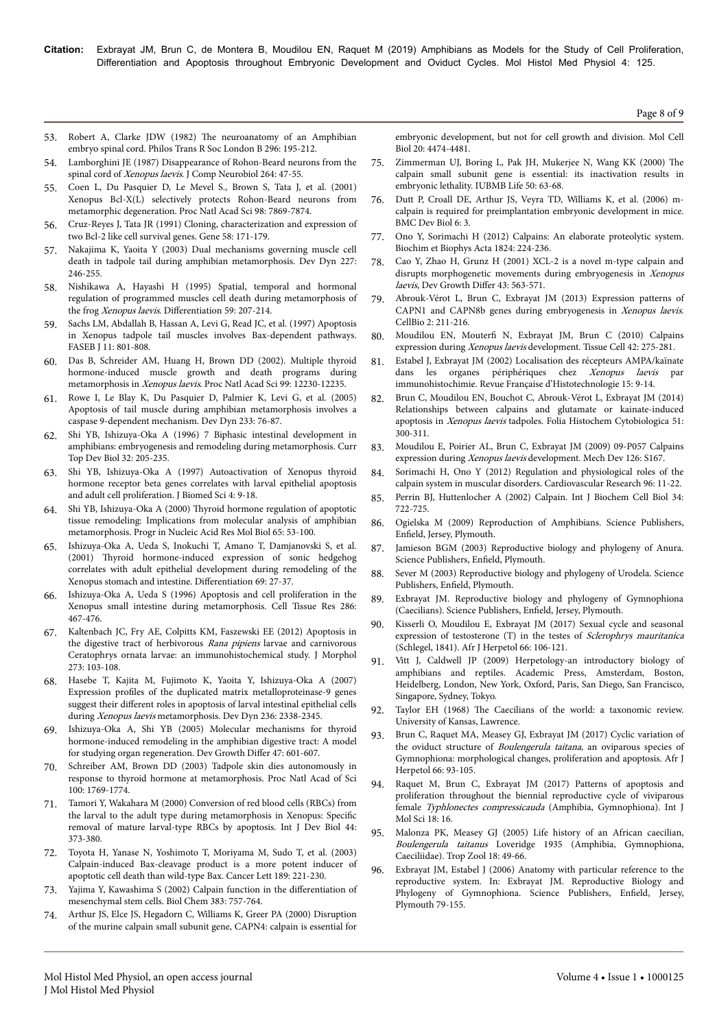- 53. Robert A, Clarke JDW (1982) Нe [neuroanatomy of an Amphibian](https://royalsocietypublishing.org/doi/abs/10.1098/rstb.1982.0002) [embryo spinal cord. Philos Trans R Soc London B 296: 195-212.](https://royalsocietypublishing.org/doi/abs/10.1098/rstb.1982.0002)
- 54. [Lamborghini JE \(1987\) Disappearance of Rohon-Beard neurons from the](https://doi.org/10.1002/cne.902640105) spinal cord of Xenopus laevis[. J Comp Neurobiol 264: 47-55.](https://doi.org/10.1002/cne.902640105)
- 55. [Coen L, Du Pasquier D, Le Mevel S., Brown S, Tata J, et al. \(2001\)](https://doi.org/10.1073/pnas.141226798) [Xenopus Bcl-X\(L\) selectively protects Rohon-Beard neurons from](https://doi.org/10.1073/pnas.141226798) [metamorphic degeneration. Proc Natl Acad Sci 98: 7869-7874.](https://doi.org/10.1073/pnas.141226798)
- 56. [Cruz-Reyes J, Tata JR \(1991\) Cloning, characterization and expression of](https://doi.org/10.1016/0378-1119(95)00159-4) [two Bcl-2 like cell survival genes. Gene 58: 171-179.](https://doi.org/10.1016/0378-1119(95)00159-4)
- 57. [Nakajima K, Yaoita Y \(2003\) Dual mechanisms governing muscle cell](https://doi.org/10.1002/dvdy.10300) [death in tadpole tail during amphibian metamorphosis. Dev Dyn 227:](https://doi.org/10.1002/dvdy.10300) [246-255.](https://doi.org/10.1002/dvdy.10300)
- 58. [Nishikawa A, Hayashi H \(1995\) Spatial, temporal and hormonal](https://doi.org/10.1046/j.1432-0436.1995.5940207.x) [regulation of programmed muscles cell death during metamorphosis of](https://doi.org/10.1046/j.1432-0436.1995.5940207.x) the frog Xenopus laevis. Differentiation 59: 207-214.
- 59. [Sachs LM, Abdallah B, Hassan A, Levi G, Read JC, et al. \(1997\) Apoptosis](https://doi.org/10.1096/fasebj.11.10.9271365) [in Xenopus tadpole tail muscles involves Bax-dependent pathways.](https://doi.org/10.1096/fasebj.11.10.9271365) [FASEB J 11: 801-808.](https://doi.org/10.1096/fasebj.11.10.9271365)
- 60. [Das B, Schreider AM, Huang H, Brown DD \(2002\). Multiple thyroid](https://doi.org/10.1073/pnas.182430599) [hormone-induced muscle growth and death programs during](https://doi.org/10.1073/pnas.182430599) metamorphosis in Xenopus laevis[. Proc Natl Acad Sci 99: 12230-12235.](https://doi.org/10.1073/pnas.182430599)
- 61. [Rowe I, Le Blay K, Du Pasquier D, Palmier K, Levi G, et al. \(2005\)](https://doi.org/10.1002/dvdy.20312) [Apoptosis of tail muscle during amphibian metamorphosis involves a](https://doi.org/10.1002/dvdy.20312) [caspase 9-dependent mechanism. Dev Dyn 233: 76-87.](https://doi.org/10.1002/dvdy.20312)
- 62. [Shi YB, Ishizuya-Oka A \(1996\) 7 Biphasic intestinal development in](https://doi.org/10.1016/s0070-2153(08)60429-9) [amphibians: embryogenesis and remodeling during metamorphosis. Curr](https://doi.org/10.1016/s0070-2153(08)60429-9) [Top Dev Biol 32: 205-235.](https://doi.org/10.1016/s0070-2153(08)60429-9)
- 63. [Shi YB, Ishizuya-Oka A \(1997\) Autoactivation of Xenopus thyroid](https://doi.org/10.1007/bf02255588) [hormone receptor beta genes correlates with larval epithelial apoptosis](https://doi.org/10.1007/bf02255588) [and adult cell proliferation. J Biomed Sci 4: 9-18.](https://doi.org/10.1007/bf02255588)
- 64. Shi YB, Ishizuya-Oka A (2000) Нyroid [hormone regulation of apoptotic](https://doi.org/10.1016/s0079-6603(00)65002-x) [tissue remodeling: Implications from molecular analysis of amphibian](https://doi.org/10.1016/s0079-6603(00)65002-x) [metamorphosis. Progr in Nucleic Acid Res Mol Biol 65: 53-100.](https://doi.org/10.1016/s0079-6603(00)65002-x)
- 65. [Ishizuya-Oka A, Ueda S, Inokuchi T, Amano T, Damjanovski S, et al.](https://doi.org/10.1046/j.1432-0436.2001.690103.x) (2001) Нyroid [hormone-induced expression of sonic hedgehog](https://doi.org/10.1046/j.1432-0436.2001.690103.x) [correlates with adult epithelial development during remodeling of the](https://doi.org/10.1046/j.1432-0436.2001.690103.x) [Xenopus stomach and intestine.](https://doi.org/10.1046/j.1432-0436.2001.690103.x) Differentiation 69: 27-37.
- 66. [Ishizuya-Oka A, Ueda S \(1996\) Apoptosis and cell proliferation in the](https://doi.org/10.1007/s004410050716) [Xenopus small intestine during metamorphosis. Cell Tissue Res 286:](https://doi.org/10.1007/s004410050716) [467-476.](https://doi.org/10.1007/s004410050716)
- 67. [Kaltenbach JC, Fry AE, Colpitts KM, Faszewski EE \(2012\) Apoptosis in](https://doi.org/10.1002/jmor.11010) [the digestive tract of herbivorous](https://doi.org/10.1002/jmor.11010) Rana pipiens larvae and carnivorous [Ceratophrys ornata larvae: an immunohistochemical study. J Morphol](https://doi.org/10.1002/jmor.11010) [273: 103-108.](https://doi.org/10.1002/jmor.11010)
- 68. [Hasebe T, Kajita M, Fujimoto K, Yaoita Y, Ishizuya-Oka A \(2007\)](https://doi.org/10.1002/dvdy.21252) Expression profiles [of the duplicated matrix metalloproteinase-9 genes](https://doi.org/10.1002/dvdy.21252) suggest their different [roles in apoptosis of larval intestinal epithelial cells](https://doi.org/10.1002/dvdy.21252) during Xenopus laevis [metamorphosis. Dev Dyn 236: 2338-2345.](https://doi.org/10.1002/dvdy.21252)
- 69. [Ishizuya-Oka A, Shi YB \(2005\) Molecular mechanisms for thyroid](https://doi.org/10.1111/j.1440-169x.2005.00833.x) [hormone-induced remodeling in the amphibian digestive tract: A model](https://doi.org/10.1111/j.1440-169x.2005.00833.x) [for studying organ regeneration. Dev Growth](https://doi.org/10.1111/j.1440-169x.2005.00833.x) Differ 47: 601-607.
- 70. [Schreiber AM, Brown DD \(2003\) Tadpole skin dies autonomously in](https://doi.org/10.1073/pnas.252774999) [response to thyroid hormone at metamorphosis. Proc Natl Acad of Sci](https://doi.org/10.1073/pnas.252774999) [100: 1769-1774.](https://doi.org/10.1073/pnas.252774999)
- 71. Tamori Y, Wakahara M (2000) Conversion of red blood cells (RBCs) from the larval to the adult type during metamorphosis in Xenopus: Specific removal of mature larval-type RBCs by apoptosis. Int J Dev Biol 44: 373-380.
- 72. [Toyota H, Yanase N, Yoshimoto T, Moriyama M, Sudo T, et al. \(2003\)](https://doi.org/10.1016/s0304-3835(02)00552-9) [Calpain-induced Bax-cleavage product is a more potent inducer of](https://doi.org/10.1016/s0304-3835(02)00552-9) [apoptotic cell death than wild-type Bax. Cancer Lett 189: 221-230.](https://doi.org/10.1016/s0304-3835(02)00552-9)
- 73. [Yajima Y, Kawashima S \(2002\) Calpain function in the](https://doi.org/10.1515/bc.2002.079) differentiation of [mesenchymal stem cells. Biol Chem 383: 757-764.](https://doi.org/10.1515/bc.2002.079)
- [Arthur JS, Elce JS, Hegadorn C, Williams K, Greer PA \(2000\) Disruption](https://doi.org/10.1128/mcb.20.12.4474-4481.2000) [of the murine calpain small subunit gene, CAPN4: calpain is essential for](https://doi.org/10.1128/mcb.20.12.4474-4481.2000)

[embryonic development, but not for cell growth and division. Mol Cell](https://doi.org/10.1128/mcb.20.12.4474-4481.2000) [Biol 20: 4474-4481.](https://doi.org/10.1128/mcb.20.12.4474-4481.2000)

- 75. Zimmerman UJ, Boring L, Pak JH, Mukerjee N, Wang KK (2000) Нe calpain small subunit gene is essential: its inactivation results in embryonic lethality. IUBMB Life 50: 63-68.
- 76. Dutt P, Croall DE, Arthur JS, Veyra TD, Williams K, et al. (2006) mcalpain is required for preimplantation embryonic development in mice. BMC Dev Biol 6: 3.
- 77. [Ono Y, Sorimachi H \(2012\) Calpains: An elaborate proteolytic system.](https://doi.org/10.1016/j.bbapap.2011.08.005) [Biochim et Biophys Acta 1824: 224-236.](https://doi.org/10.1016/j.bbapap.2011.08.005)
- 78. [Cao Y, Zhao H, Grunz H \(2001\) XCL-2 is a novel m-type calpain and](https://doi.org/10.1046/j.1440-169x.2001.00592.x) [disrupts morphogenetic movements during embryogenesis in](https://doi.org/10.1046/j.1440-169x.2001.00592.x) Xenopus laevis[, Dev Growth](https://doi.org/10.1046/j.1440-169x.2001.00592.x) Differ 43: 563-571.
- 79. [Abrouk-Vérot L, Brun C, Exbrayat JM \(2013\) Expression patterns of](https://doi.org/10.4236/cellbio.2013.24024) [CAPN1 and CAPN8b genes during embryogenesis in](https://doi.org/10.4236/cellbio.2013.24024) Xenopus laevis. [CellBio 2: 211-216.](https://doi.org/10.4236/cellbio.2013.24024)
- 80. Moudilou EN, Mouterfi [N, Exbrayat JM, Brun C \(2010\) Calpains](https://doi.org/10.1016/j.tice.2010.07.001) expression during Xenopus laevis [development. Tissue Cell 42: 275-281.](https://doi.org/10.1016/j.tice.2010.07.001)
- 81. Estabel J, Exbrayat JM (2002) Localisation des récepteurs AMPA/kaïnate dans les organes périphériques chez Xenopus laevis par immunohistochimie. Revue Française d'Histotechnologie 15: 9-14.
- 82. [Brun C, Moudilou EN, Bouchot C, Abrouk-Vérot L, Exbrayat JM \(2014\)](https://doi.org/10.5603/fhc.2013.0041) [Relationships between calpains and glutamate or kainate-induced](https://doi.org/10.5603/fhc.2013.0041) apoptosis in Xenopus laevis [tadpoles. Folia Histochem Cytobiologica 51:](https://doi.org/10.5603/fhc.2013.0041) [300-311.](https://doi.org/10.5603/fhc.2013.0041)
- 83. [Moudilou E, Poirier AL, Brun C, Exbrayat JM \(2009\) 09-P057 Calpains](https://doi.org/10.1016/j.mod.2009.06.387) expression during Xenopus laevis [development. Mech Dev 126: S167.](https://doi.org/10.1016/j.mod.2009.06.387)
- 84. [Sorimachi H, Ono Y \(2012\) Regulation and physiological roles of the](https://doi.org/10.1093/cvr/cvs157) [calpain system in muscular disorders. Cardiovascular Research 96: 11-22.](https://doi.org/10.1093/cvr/cvs157)
- 85. Perrin BJ, Huttenlocher A (2002) Calpain. Int J Biochem Cell Biol 34: 722-725.
- 86. Ogielska M (2009) Reproduction of Amphibians. Science Publishers, Enfield, Jersey, Plymouth.
- 87. Jamieson BGM (2003) Reproductive biology and phylogeny of Anura. Science Publishers, Enfield, Plymouth.
- 88. Sever M (2003) Reproductive biology and phylogeny of Urodela. Science Publishers, Enfield, Plymouth.
- 89. Exbrayat JM. Reproductive biology and phylogeny of Gymnophiona (Caecilians). Science Publishers, Enfield, Jersey, Plymouth.
- 90. [Kisserli O, Moudilou E, Exbrayat JM \(2017\) Sexual cycle and seasonal](https://doi.org/10.1080/21564574.2017.1369170) [expression of testosterone \(T\) in the testes of](https://doi.org/10.1080/21564574.2017.1369170) Sclerophrys mauritanica [\(Schlegel, 1841\). Afr J Herpetol 66: 106-121.](https://doi.org/10.1080/21564574.2017.1369170)
- 91. Vitt J, Caldwell JP (2009) Herpetology-an introductory biology of amphibians and reptiles. Academic Press, Amsterdam, Boston, Heidelberg, London, New York, Oxford, Paris, San Diego, San Francisco, Singapore, Sydney, Tokyo.
- 92. Taylor EH (1968) Нe Caecilians of the world: a taxonomic review. University of Kansas, Lawrence.
- 93. [Brun C, Raquet MA, Measey GJ, Exbrayat JM \(2017\) Cyclic variation of](https://doi.org/10.1080/21564574.2017.1365098) the oviduct structure of Boulengerula taitana[, an oviparous species of](https://doi.org/10.1080/21564574.2017.1365098) [Gymnophiona: morphological changes, proliferation and apoptosis. Afr J](https://doi.org/10.1080/21564574.2017.1365098) [Herpetol 66: 93-105.](https://doi.org/10.1080/21564574.2017.1365098)
- 94. [Raquet M, Brun C, Exbrayat JM \(2017\) Patterns of apoptosis and](https://doi.org/10.3390/ijms18010016) [proliferation throughout the biennial reproductive cycle of viviparous](https://doi.org/10.3390/ijms18010016) female Typhlonectes compressicauda [\(Amphibia, Gymnophiona\). Int J](https://doi.org/10.3390/ijms18010016) [Mol Sci 18: 16.](https://doi.org/10.3390/ijms18010016)
- 95. [Malonza PK, Measey GJ \(2005\) Life history of an African caecilian,](https://www.tandfonline.com/doi/abs/10.1080/03946975.2005.10531214) Boulengerula taitanus [Loveridge 1935 \(Amphibia, Gymnophiona,](https://www.tandfonline.com/doi/abs/10.1080/03946975.2005.10531214) [Caeciliidae\). Trop Zool 18: 49-66.](https://www.tandfonline.com/doi/abs/10.1080/03946975.2005.10531214)
- 96. Exbrayat JM, Estabel J (2006) Anatomy with particular reference to the reproductive system. In: Exbrayat JM. Reproductive Biology and Phylogeny of Gymnophiona. Science Publishers, Enfield, Jersey, Plymouth 79-155.

Page 8 of 9